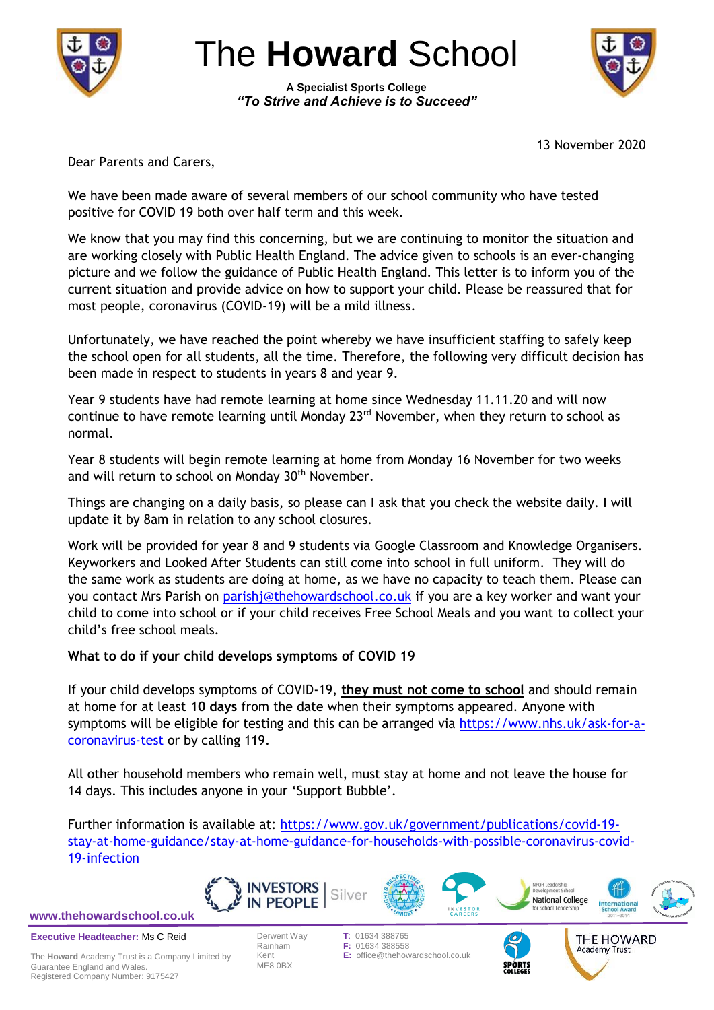

The **Howard** School

**A Specialist Sports College** *"To Strive and Achieve is to Succeed"*



13 November 2020

Dear Parents and Carers,

We have been made aware of several members of our school community who have tested positive for COVID 19 both over half term and this week.

We know that you may find this concerning, but we are continuing to monitor the situation and are working closely with Public Health England. The advice given to schools is an ever-changing picture and we follow the guidance of Public Health England. This letter is to inform you of the current situation and provide advice on how to support your child. Please be reassured that for most people, coronavirus (COVID-19) will be a mild illness.

Unfortunately, we have reached the point whereby we have insufficient staffing to safely keep the school open for all students, all the time. Therefore, the following very difficult decision has been made in respect to students in years 8 and year 9.

Year 9 students have had remote learning at home since Wednesday 11.11.20 and will now continue to have remote learning until Monday 23<sup>rd</sup> November, when they return to school as normal.

Year 8 students will begin remote learning at home from Monday 16 November for two weeks and will return to school on Monday 30<sup>th</sup> November.

Things are changing on a daily basis, so please can I ask that you check the website daily. I will update it by 8am in relation to any school closures.

Work will be provided for year 8 and 9 students via Google Classroom and Knowledge Organisers. Keyworkers and Looked After Students can still come into school in full uniform. They will do the same work as students are doing at home, as we have no capacity to teach them. Please can you contact Mrs Parish on [parishj@thehowardschool.co.uk](mailto:parishj@thehowardschool.co.uk) if you are a key worker and want your child to come into school or if your child receives Free School Meals and you want to collect your child's free school meals.

# **What to do if your child develops symptoms of COVID 19**

If your child develops symptoms of COVID-19, **they must not come to school** and should remain at home for at least **10 days** from the date when their symptoms appeared. Anyone with symptoms will be eligible for testing and this can be arranged via [https://www.nhs.uk/ask-for-a](https://www.nhs.uk/ask-for-a-coronavirus-test)[coronavirus-test](https://www.nhs.uk/ask-for-a-coronavirus-test) or by calling 119.

All other household members who remain well, must stay at home and not leave the house for 14 days. This includes anyone in your 'Support Bubble'.

Further information is available at: [https://www.gov.uk/government/publications/covid-19](https://www.gov.uk/government/publications/covid-19-stay-at-home-guidance/stay-at-home-guidance-for-households-with-possible-coronavirus-covid-19-infection) [stay-at-home-guidance/stay-at-home-guidance-for-households-with-possible-coronavirus-covid-](https://www.gov.uk/government/publications/covid-19-stay-at-home-guidance/stay-at-home-guidance-for-households-with-possible-coronavirus-covid-19-infection)[19-infection](https://www.gov.uk/government/publications/covid-19-stay-at-home-guidance/stay-at-home-guidance-for-households-with-possible-coronavirus-covid-19-infection)

Silver



**Executive Headteacher:** Ms C Reid

The **Howard** Academy Trust is a Company Limited by Guarantee England and Wales. Registered Company Number: 9175427



IN PFOPLE







THE HOWARD Academy Trust



Derwent Way **T**: 01634 388765 **F: 01634 388558** Kent **E:** office@thehowardschool.co.uk